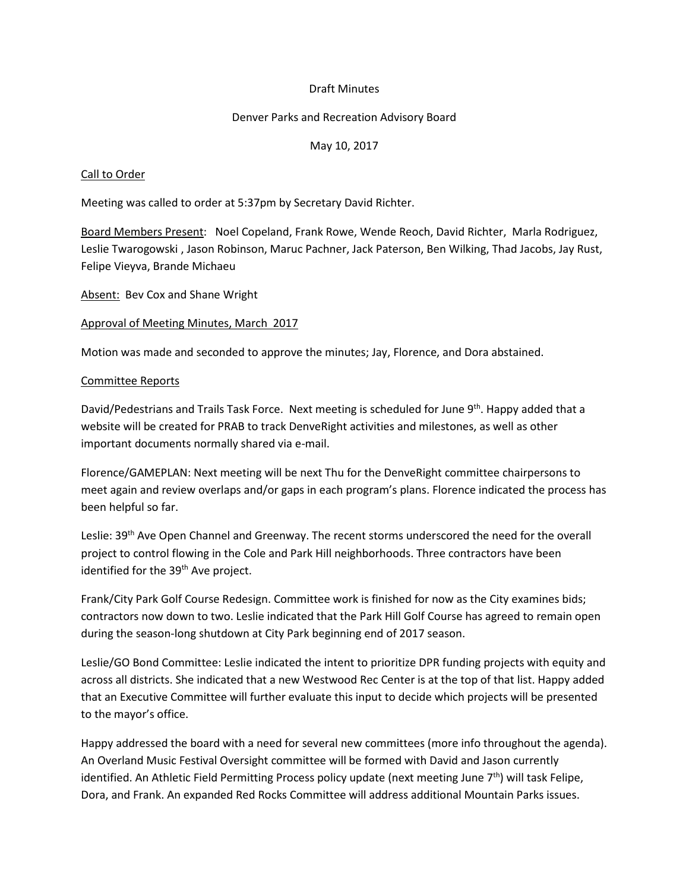### Draft Minutes

#### Denver Parks and Recreation Advisory Board

#### May 10, 2017

#### Call to Order

Meeting was called to order at 5:37pm by Secretary David Richter.

Board Members Present: Noel Copeland, Frank Rowe, Wende Reoch, David Richter, Marla Rodriguez, Leslie Twarogowski , Jason Robinson, Maruc Pachner, Jack Paterson, Ben Wilking, Thad Jacobs, Jay Rust, Felipe Vieyva, Brande Michaeu

Absent: Bev Cox and Shane Wright

#### Approval of Meeting Minutes, March 2017

Motion was made and seconded to approve the minutes; Jay, Florence, and Dora abstained.

#### Committee Reports

David/Pedestrians and Trails Task Force. Next meeting is scheduled for June 9<sup>th</sup>. Happy added that a website will be created for PRAB to track DenveRight activities and milestones, as well as other important documents normally shared via e-mail.

Florence/GAMEPLAN: Next meeting will be next Thu for the DenveRight committee chairpersons to meet again and review overlaps and/or gaps in each program's plans. Florence indicated the process has been helpful so far.

Leslie: 39<sup>th</sup> Ave Open Channel and Greenway. The recent storms underscored the need for the overall project to control flowing in the Cole and Park Hill neighborhoods. Three contractors have been identified for the 39<sup>th</sup> Ave project.

Frank/City Park Golf Course Redesign. Committee work is finished for now as the City examines bids; contractors now down to two. Leslie indicated that the Park Hill Golf Course has agreed to remain open during the season-long shutdown at City Park beginning end of 2017 season.

Leslie/GO Bond Committee: Leslie indicated the intent to prioritize DPR funding projects with equity and across all districts. She indicated that a new Westwood Rec Center is at the top of that list. Happy added that an Executive Committee will further evaluate this input to decide which projects will be presented to the mayor's office.

Happy addressed the board with a need for several new committees (more info throughout the agenda). An Overland Music Festival Oversight committee will be formed with David and Jason currently identified. An Athletic Field Permitting Process policy update (next meeting June 7<sup>th</sup>) will task Felipe, Dora, and Frank. An expanded Red Rocks Committee will address additional Mountain Parks issues.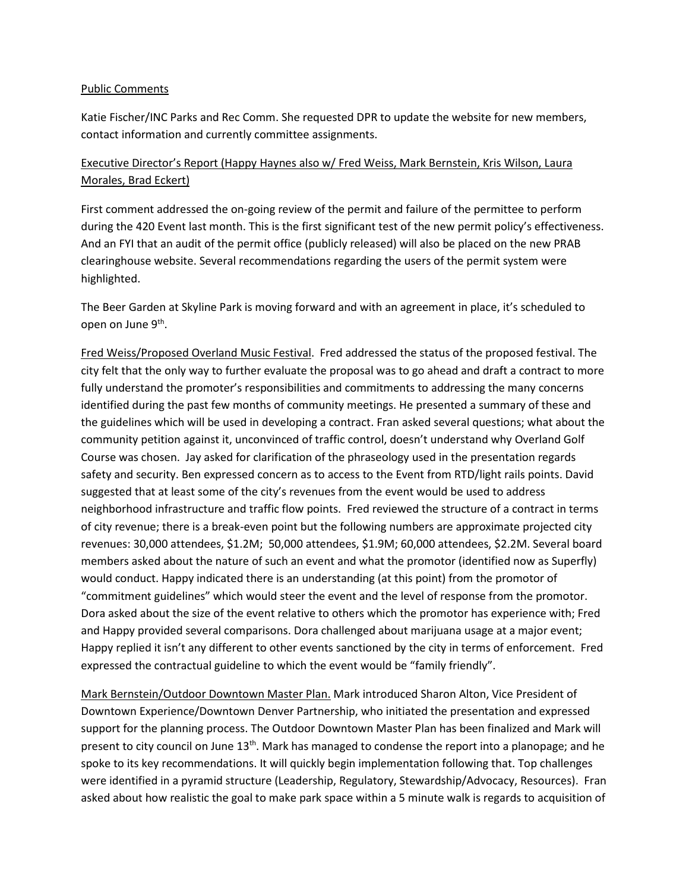#### Public Comments

Katie Fischer/INC Parks and Rec Comm. She requested DPR to update the website for new members, contact information and currently committee assignments.

# Executive Director's Report (Happy Haynes also w/ Fred Weiss, Mark Bernstein, Kris Wilson, Laura Morales, Brad Eckert)

First comment addressed the on-going review of the permit and failure of the permittee to perform during the 420 Event last month. This is the first significant test of the new permit policy's effectiveness. And an FYI that an audit of the permit office (publicly released) will also be placed on the new PRAB clearinghouse website. Several recommendations regarding the users of the permit system were highlighted.

The Beer Garden at Skyline Park is moving forward and with an agreement in place, it's scheduled to open on June 9<sup>th</sup>.

Fred Weiss/Proposed Overland Music Festival. Fred addressed the status of the proposed festival. The city felt that the only way to further evaluate the proposal was to go ahead and draft a contract to more fully understand the promoter's responsibilities and commitments to addressing the many concerns identified during the past few months of community meetings. He presented a summary of these and the guidelines which will be used in developing a contract. Fran asked several questions; what about the community petition against it, unconvinced of traffic control, doesn't understand why Overland Golf Course was chosen. Jay asked for clarification of the phraseology used in the presentation regards safety and security. Ben expressed concern as to access to the Event from RTD/light rails points. David suggested that at least some of the city's revenues from the event would be used to address neighborhood infrastructure and traffic flow points. Fred reviewed the structure of a contract in terms of city revenue; there is a break-even point but the following numbers are approximate projected city revenues: 30,000 attendees, \$1.2M; 50,000 attendees, \$1.9M; 60,000 attendees, \$2.2M. Several board members asked about the nature of such an event and what the promotor (identified now as Superfly) would conduct. Happy indicated there is an understanding (at this point) from the promotor of "commitment guidelines" which would steer the event and the level of response from the promotor. Dora asked about the size of the event relative to others which the promotor has experience with; Fred and Happy provided several comparisons. Dora challenged about marijuana usage at a major event; Happy replied it isn't any different to other events sanctioned by the city in terms of enforcement. Fred expressed the contractual guideline to which the event would be "family friendly".

Mark Bernstein/Outdoor Downtown Master Plan. Mark introduced Sharon Alton, Vice President of Downtown Experience/Downtown Denver Partnership, who initiated the presentation and expressed support for the planning process. The Outdoor Downtown Master Plan has been finalized and Mark will present to city council on June  $13<sup>th</sup>$ . Mark has managed to condense the report into a planopage; and he spoke to its key recommendations. It will quickly begin implementation following that. Top challenges were identified in a pyramid structure (Leadership, Regulatory, Stewardship/Advocacy, Resources). Fran asked about how realistic the goal to make park space within a 5 minute walk is regards to acquisition of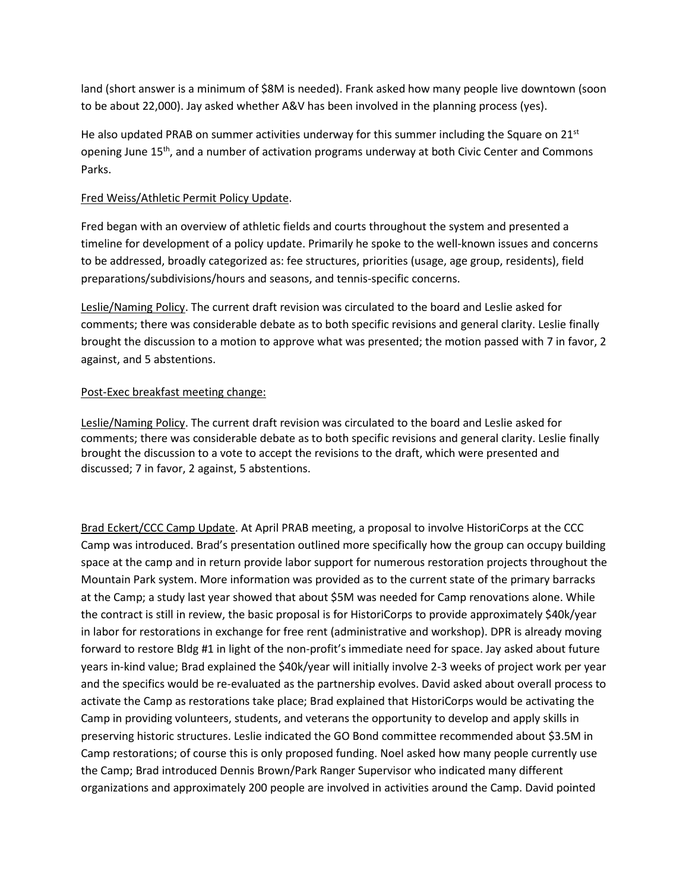land (short answer is a minimum of \$8M is needed). Frank asked how many people live downtown (soon to be about 22,000). Jay asked whether A&V has been involved in the planning process (yes).

He also updated PRAB on summer activities underway for this summer including the Square on  $21^{st}$ opening June 15<sup>th</sup>, and a number of activation programs underway at both Civic Center and Commons Parks.

### Fred Weiss/Athletic Permit Policy Update.

Fred began with an overview of athletic fields and courts throughout the system and presented a timeline for development of a policy update. Primarily he spoke to the well-known issues and concerns to be addressed, broadly categorized as: fee structures, priorities (usage, age group, residents), field preparations/subdivisions/hours and seasons, and tennis-specific concerns.

Leslie/Naming Policy. The current draft revision was circulated to the board and Leslie asked for comments; there was considerable debate as to both specific revisions and general clarity. Leslie finally brought the discussion to a motion to approve what was presented; the motion passed with 7 in favor, 2 against, and 5 abstentions.

## Post-Exec breakfast meeting change:

Leslie/Naming Policy. The current draft revision was circulated to the board and Leslie asked for comments; there was considerable debate as to both specific revisions and general clarity. Leslie finally brought the discussion to a vote to accept the revisions to the draft, which were presented and discussed; 7 in favor, 2 against, 5 abstentions.

Brad Eckert/CCC Camp Update. At April PRAB meeting, a proposal to involve HistoriCorps at the CCC Camp was introduced. Brad's presentation outlined more specifically how the group can occupy building space at the camp and in return provide labor support for numerous restoration projects throughout the Mountain Park system. More information was provided as to the current state of the primary barracks at the Camp; a study last year showed that about \$5M was needed for Camp renovations alone. While the contract is still in review, the basic proposal is for HistoriCorps to provide approximately \$40k/year in labor for restorations in exchange for free rent (administrative and workshop). DPR is already moving forward to restore Bldg #1 in light of the non-profit's immediate need for space. Jay asked about future years in-kind value; Brad explained the \$40k/year will initially involve 2-3 weeks of project work per year and the specifics would be re-evaluated as the partnership evolves. David asked about overall process to activate the Camp as restorations take place; Brad explained that HistoriCorps would be activating the Camp in providing volunteers, students, and veterans the opportunity to develop and apply skills in preserving historic structures. Leslie indicated the GO Bond committee recommended about \$3.5M in Camp restorations; of course this is only proposed funding. Noel asked how many people currently use the Camp; Brad introduced Dennis Brown/Park Ranger Supervisor who indicated many different organizations and approximately 200 people are involved in activities around the Camp. David pointed